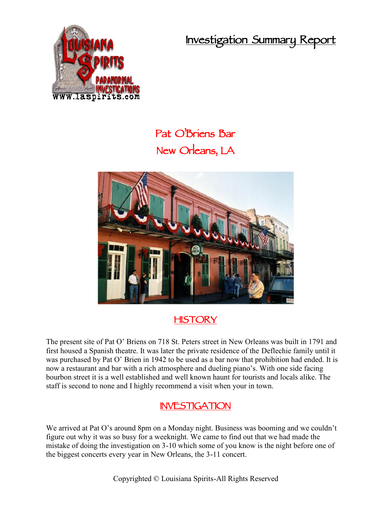**Investigation Summary Report**



## **Pat O'Briens Bar New Orleans, LA**



## **HISTORY**

The present site of Pat O' Briens on 718 St. Peters street in New Orleans was built in 1791 and first housed a Spanish theatre. It was later the private residence of the Deflechie family until it was purchased by Pat O' Brien in 1942 to be used as a bar now that prohibition had ended. It is now a restaurant and bar with a rich atmosphere and dueling piano's. With one side facing bourbon street it is a well established and well known haunt for tourists and locals alike. The staff is second to none and I highly recommend a visit when your in town.

## **INVESTIGATION**

We arrived at Pat O's around 8pm on a Monday night. Business was booming and we couldn't figure out why it was so busy for a weeknight. We came to find out that we had made the mistake of doing the investigation on 3-10 which some of you know is the night before one of the biggest concerts every year in New Orleans, the 3-11 concert.